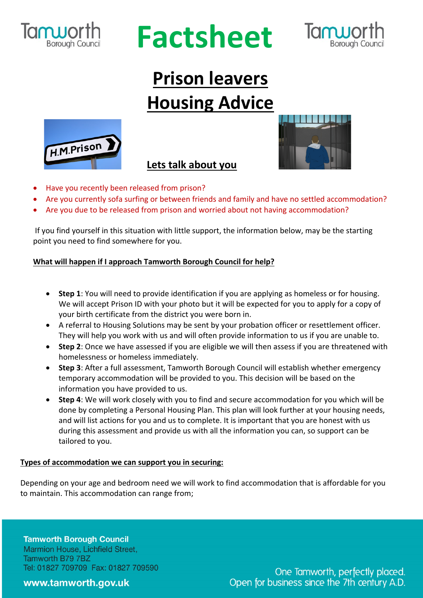

# **Factsheet**



# **Prison leavers Housing Advice**



### **Lets talk about you**



- Have you recently been released from prison?
- Are you currently sofa surfing or between friends and family and have no settled accommodation?
- Are you due to be released from prison and worried about not having accommodation?

If you find yourself in this situation with little support, the information below, may be the starting point you need to find somewhere for you.

### **What will happen if I approach Tamworth Borough Council for help?**

- **Step 1**: You will need to provide identification if you are applying as homeless or for housing. We will accept Prison ID with your photo but it will be expected for you to apply for a copy of your birth certificate from the district you were born in.
- A referral to Housing Solutions may be sent by your probation officer or resettlement officer. They will help you work with us and will often provide information to us if you are unable to.
- **Step 2**: Once we have assessed if you are eligible we will then assess if you are threatened with homelessness or homeless immediately.
- **Step 3**: After a full assessment, Tamworth Borough Council will establish whether emergency temporary accommodation will be provided to you. This decision will be based on the information you have provided to us.
- **Step 4**: We will work closely with you to find and secure accommodation for you which will be done by completing a Personal Housing Plan. This plan will look further at your housing needs, and will list actions for you and us to complete. It is important that you are honest with us during this assessment and provide us with all the information you can, so support can be tailored to you.

### **Types of accommodation we can support you in securing:**

Depending on your age and bedroom need we will work to find accommodation that is affordable for you to maintain. This accommodation can range from;

**Tamworth Borough Council** Marmion House, Lichfield Street, Tamworth B79 7BZ Tel: 01827 709709 Fax: 01827 709590

### www.tamworth.gov.uk

One Tamworth, perfectly placed. Open for business since the 7th century A.D.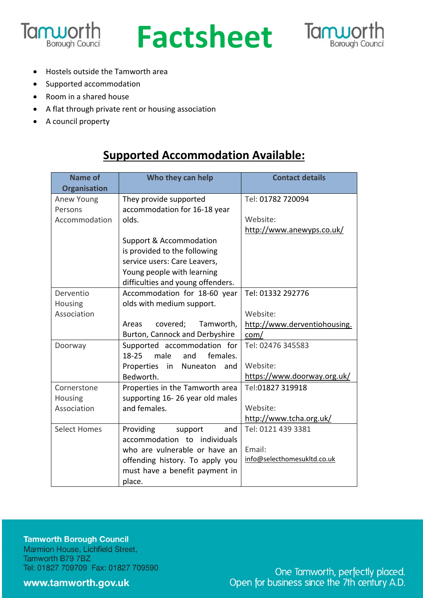





- Hostels outside the Tamworth area
- Supported accommodation
- Room in a shared house
- A flat through private rent or housing association
- A council property

### **Supported Accommodation Available:**

| <b>Name of</b>      | Who they can help                   | <b>Contact details</b>       |
|---------------------|-------------------------------------|------------------------------|
| <b>Organisation</b> |                                     |                              |
| Anew Young          | They provide supported              | Tel: 01782 720094            |
| Persons             | accommodation for 16-18 year        |                              |
| Accommodation       | olds.                               | Website:                     |
|                     |                                     | http://www.anewyps.co.uk/    |
|                     | <b>Support &amp; Accommodation</b>  |                              |
|                     | is provided to the following        |                              |
|                     | service users: Care Leavers,        |                              |
|                     | Young people with learning          |                              |
|                     | difficulties and young offenders.   |                              |
| Derventio           | Accommodation for 18-60 year        | Tel: 01332 292776            |
| Housing             | olds with medium support.           |                              |
| Association         |                                     | Website:                     |
|                     | covered;<br>Tamworth,<br>Areas      | http://www.derventiohousing. |
|                     | Burton, Cannock and Derbyshire      | com/                         |
| Doorway             | Supported accommodation for         | Tel: 02476 345583            |
|                     | $18-25$<br>male<br>and<br>females.  |                              |
|                     | Properties<br>in<br>Nuneaton<br>and | Website:                     |
|                     | Bedworth.                           | https://www.doorway.org.uk/  |
| Cornerstone         | Properties in the Tamworth area     | Tel:01827 319918             |
| Housing             | supporting 16-26 year old males     |                              |
| Association         | and females.                        | Website:                     |
|                     |                                     | http://www.tcha.org.uk/      |
| <b>Select Homes</b> | Providing<br>and<br>support         | Tel: 0121 439 3381           |
|                     | accommodation to individuals        |                              |
|                     | who are vulnerable or have an       | Email:                       |
|                     | offending history. To apply you     | info@selecthomesukltd.co.uk  |
|                     | must have a benefit payment in      |                              |
|                     | place.                              |                              |

**Tamworth Borough Council** Marmion House, Lichfield Street, Tamworth B79 7BZ Tel: 01827 709709 Fax: 01827 709590

www.tamworth.gov.uk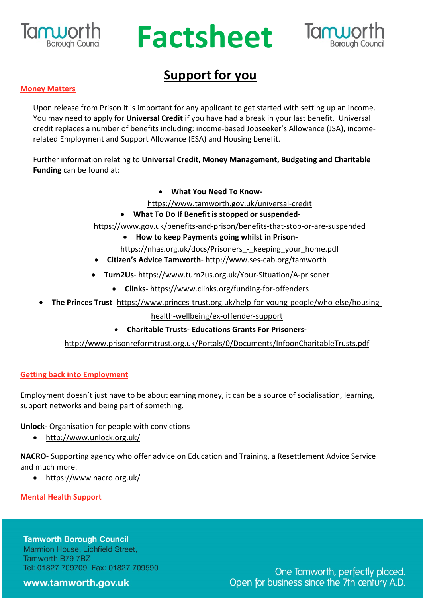

# **Factsheet**



## **Support for you**

#### **Money Matters**

Upon release from Prison it is important for any applicant to get started with setting up an income. You may need to apply for **Universal Credit** if you have had a break in your last benefit. Universal credit replaces a number of benefits including: income-based Jobseeker's Allowance (JSA), incomerelated Employment and Support Allowance (ESA) and Housing benefit.

Further information relating to **Universal Credit, Money Management, Budgeting and Charitable Funding** can be found at:

• **What You Need To Know-**

https://www.tamworth.gov.uk/universal-credit

• **What To Do If Benefit is stopped or suspended-**

https://www.gov.uk/benefits-and-prison/benefits-that-stop-or-are-suspended

- **How to keep Payments going whilst in Prison-**
- https://nhas.org.uk/docs/Prisoners keeping your home.pdf
- **Citizen's Advice Tamworth** http://www.ses-cab.org/tamworth
- **Turn2Us** https://www.turn2us.org.uk/Your-Situation/A-prisoner
	- **Clinks-** https://www.clinks.org/funding-for-offenders
- **The Princes Trust** https://www.princes-trust.org.uk/help-for-young-people/who-else/housing-

health-wellbeing/ex-offender-support

• **Charitable Trusts- Educations Grants For Prisoners-**

http://www.prisonreformtrust.org.uk/Portals/0/Documents/InfoonCharitableTrusts.pdf

#### **Getting back into Employment**

Employment doesn't just have to be about earning money, it can be a source of socialisation, learning, support networks and being part of something.

**Unlock-** Organisation for people with convictions

• http://www.unlock.org.uk/

**NACRO**- Supporting agency who offer advice on Education and Training, a Resettlement Advice Service and much more.

• https://www.nacro.org.uk/

**Mental Health Support**

### **Tamworth Borough Council** Marmion House, Lichfield Street, Tamworth B79 7BZ Tel: 01827 709709 Fax: 01827 709590

www.tamworth.gov.uk

One Tamworth, perfectly placed. Open for business since the 7th century A.D.